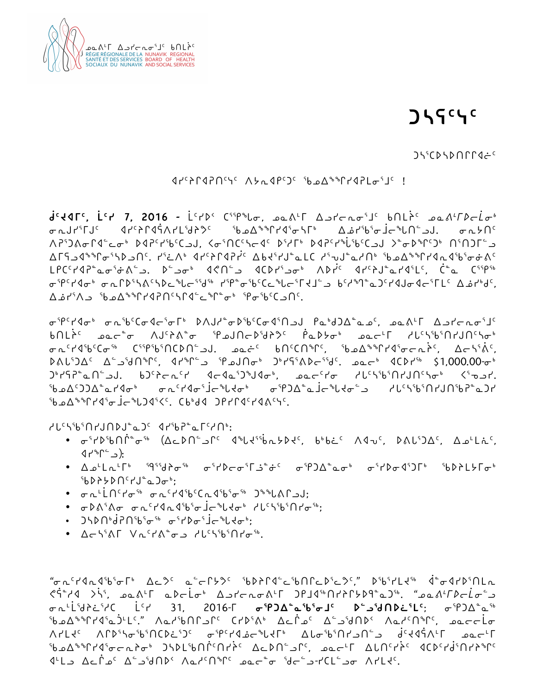

**ᑰᑦᔪᐊᒥᑦ, ᒫᑦᓯ 7, 2016 -** ᒫᑦᓯᐅᑉ ᑕᕐᕿᖓᓂ, ᓄᓇᕕᒻᒥ ᐃᓗᓯᓕᕆᓂᕐᒧᑦ ᑲᑎᒪᔩᑦ *ᓄᓇᕕᒻᒥᐅᓕᒫᓂᒃ* ᢛᠠ᠘ᠠᡃ᠌ᡏ᠐ᡱ᠂ᡆᢝᢄᡆ᠑ᢣᡗ᠂᠖ᡔᡗ᠂᠖ᢣ᠗ᢢ᠉ᠻᡫᡐ᠍ᢛᡫᡵ᠉᠂ᢛᠾᢂᢠ᠕ᠷᡁᢄ ᐱᕈᕐᑐᕕᓂᒋᐊᓪᓚᓂᒃ ᐅᐊᕈᑦᓯᖃᑦᑕᓗᒍ, ᐸᓂᕐᑎᑕᑦᓴᓕᐊᑦ ᐅᕐᓱᒥᒃ ᐅᐊᕈᑦᓯᖔᖃᑦᑕᓗᒍ ᐳᓐᓂᐅᖏᑦᑐᒃ ᑎᕐᑎᑐᒥᓪᓗ ᐃᒥᕋᓗᐊᖕᖏᓂᕐᓴᐅᓗᑎᑦ. ᓯᕐᓛᐱᒃ ᐊᓯᑦᔨᒋᐊᕈᓰᑦ ᐃᑲᔪᕐᓯᒍᓐᓇᒪᑕ ᓱᕐᕃᒍᓐᓇᓱᑎᒃ ᖃᓄᐃᖕᖏᓯᐊᕆᐊᖃᕐᓂᓃᕕᑦ د PC<sup>c</sup>۲۹۲ مونځ کڼه د کاټونې د اړه د ۱۳۵۰ مونځ کې د ۱۳۵۰ مونځ کې د ۱۳۵۰ مونځ کې د ۱۳۵۰ مونځ کې د ۱۳۵۰ مونځ کې د ᓂᕿᑦᓯᐊᓂᒃ ᓂᕆᒋᐅᕐᓴᕕᑦᓴᐅᓚᖓᓕᕐᖁᖅ ᓯᕿᓐᓂᖃᑦᑕᓚᖓᓕᕐᒥᔪᒧᓪᓗ ᑲᑦᓱᙰᓐᓇᑐᑦᓯᐊᒍᓂᐊᓕᕐᒥᒪᑦ ᐃᓅᓯᒃᑯᑦ, ᐃᓅᓯᕐᐱᓗ ᖃᓄᐃᖕᖏᓯᐊᕈᑎᑦᓴᒋᐊᓪᓚᖏᓐᓂᒃ ᕿᓂᖃᑦᑕᓗᑎᑦ.

ᓂᕿᑦᓯᐊᓂᒃ ᓂᕆᖃᑦᑕᓂᐊᓕᕐᓂᒥᒃ ᐅᐱᒍᓱᓐᓂᐅᖃᑦᑕᓂᐊᕐᑎᓗᒍ ᑭᓇᒃᑯᑐᐃᓐᓇᓄᑦ, ᓄᓇᕕᒻᒥ ᐃᓗᓯᓕᕆᓂᕐᒧᑦ ᑲᑎᒪᔩᑦ ᓄᓇᓕᓐᓂ ᐱᒍᑦᔨᕕᓐᓂ ᕿᓄᒍᑎᓕᐅᖁᔨᕗᑦ ᑮᓇᐅᔭᓂᒃ ᓄᓇᓕᒻᒥ ᓱᒐᑦᓴᖃᕐᑎᓯᒍᑎᑦᓴᓂᒃ ᓂᕆᑦᓯᐊᖃᑦᑕᓂᖅ ᑕᕐᕿᖃᕐᑎᑕᐅᑎᓪᓗᒍ. ᓄᓇᓖᑦ ᑲᑎᑦᑕᑎᖏᑦ, ᖃᓄᐃᖕᖏᓯᐊᕐᓂᓕᕆᔩᑦ, ᐃᓕᓴᕐᕖᑦ, ᐅᕕᒐᕐᑐᐃᑦ ᐃᓪᓗᖁᑎᖏᑦ, ᐊᓯᖏᓪᓗ ᕿᓄᒍᑎᓂᒃ ᑐᒃᓯᕋᕐᕕᐅᓕᕐᖁᑦ. ᓄᓇᓕᒃ ᐊᑕᐅᓯᖅ \$1,000.00-ᓂᒃ ᑐᒃᓯᕋᕈᓐᓇᑎᓪᓗᒍ. ᑲᑐᑦᔨᓕᕆᑦᓯ ᐊᓕᐊᓇᕐᑐᖑᐊᓂᒃ, ᓄᓇᓕᑦᓯᓂ ᓱᒐᑦᓴᖃᕐᑎᓯᒍᑎᑦᓴᓂᒃ ᐸᕐᓀᓗᓯ. ᖃᓄᐃᑦᑐᑐᐃᓐᓇᓯᐊᓂᒃ ᓂᕆᑦᓯᐊᓂᕐᒨᓕᖓᔪᓂᒃ ᓂᕿᑐᐃᓐᓇᒨᓕᖓᔪᓂᓪᓗ ᓱᒐᑦᓴᖃᕐᑎᓯᒍᑎᖃᕈᓐᓇᑐᓯ ᖃᓄᐃᖕᖏᓯᐊᕐᓂᒨᓕᖓᑐᐊᕐᐸᑦ. ᑕᑲᒃᑯᐊ ᑐᑭᓯᒋᐊᑦᓯᐊᕕᑦᓭᑦ.

• <del>م</del> ْ٢٩زالْمْسْ (Aد١٨-آد (٩-١٩زالم دارالمارد; لاهادْ ١٩٥، ١٩٥)هـ/ اخر

• ᐃᓄᒻᒪᕆᒻᒥᒃ ᙯᕐᖁᔨᓂᖅ ᓂᕐᓯᐅᓕᓂᕐᒥᓘᓐᓃᑦ ᓂᕿᑐᐃᓐᓇᓂᒃ ᓂᕐᓯᐅᓂᐊᕐᑐᒥᒃ ᖃᐅᔨᒪᔭᒥᓂᒃ

"ᓂᕆᑦᓯᐊᕆᐊᖃᕐᓂᒥᒃ ᐃᓚᕗᑦ ᓇᓪᓕᒋᔭᕗᑦ ᖃᐅᔨᒋᐊᓪᓚᖃᑎᒋᓚᐅᕐᓚᕗᑦ," ᐅᖃᕐᓯᒪᔪᖅ ᐋᓐᓂᐊᓯᐅᕐᑎᒪᕆ ᕙᕌᓐᓱᐊ ᐳᓵᕐ, ᓄᓇᕕᒻᒥ ᓇᐅᓕᒫᓂᒃ ᐃᓗᓯᓕᕆᓂᕕᒻᒥ ᑐᑭᒧᐊᖅᑎᓯᔨᒋᔭᐅᑫᓐᓇᑐᖅ. "*ᓄᓇᕕᒻᒥᐅᓕᒫᓂᓪᓗ* ᓂᕆᒻᒫᖁᔨᓛᕐᓱᑕ ᒫᑦᓯ 31, 2016-ᒥ **ᓂᕿᑐᐃᓐᓇᖃᕐᓂᒧᑦ ᐅᓪᓗᖁᑎᐅᓛᕐᒪᑦ**; ᓂᕿᑐᐃᓐᓇᖅ ᖃᓄᐃᖕᖏᓯᐊᕐᓇᑑᒻᒪᑦ." ᐱᓇᓱᖃᑎᒋᓗᒋᑦ ᑕᓯᐅᕐᕕᒃ ᐃᓚᒌᓄᑦ ᐃᓪᓗᖁᑎᐅᑉ ᐱᓇᓱᑦᑎᖏᑦ, ᓄᓇᓕᓕᒫᓂ ᐱᓯᒪᔪᑦ ᐱᒋᐅᕐᓴᓂᖃᕐᑎᑕᐅᓛᕐᑐᑦ ᓂᕿᑦᓯᐊᓅᓕᖓᔪᒥᒃ ᐃᒐᓂᖃᕐᑎᓯᓗᑎᓪᓗ ᑰᑦᔪᐊᕌᐱᒻᒥ ᓄᓇᓕᒻᒥ ᖃᓄᐃᖕᖏᓯᐊᕐᓂᓕᕆᔨᓂᒃ ᑐᓴᐅᒪᖃᑎᒌᑦᑎᓯᔩᑦ ᐃᓚᐅᑎᓪᓗᒋᑦ, ᓄᓇᓕᒻᒥ ᐃᒐᑎᑦᓯᔩᑦ ᐊᑕᐅᑦᓯᑰᕐᑎᓯᔨᖏᑦ

ᐊᒻᒪᓗ ᐃᓚᒌᓄᑦ ᐃᓪᓗᖁᑎᐅᑉ ᐱᓇᓱᑦᑎᖏᑦ ᓄᓇᓕᓐᓂ ᖁᓕᓪᓗ-ᓯᑕᒪᓪᓗᓂ ᐱᓯᒪᔪᑦ.

•  $\sigma \sim L^L \dot{L} \cap C$ rd<sup>56</sup>  $\sigma \sim C$ rd<sup>5</sup>b<sup>c</sup> $C \sim 45$ <sub>b</sub> $\sigma$ <sup>56</sup>  $D$ <sup>\$</sup>b $L \wedge C$ • <del>م</del>٩٨٬٢٥ محم<sup>2</sup>/الم المقاد<sup>م</sup>ارد/ المقادرة المقادرة:

• J\DNʰd?Nˤbˤσˤʰ σˤґDσˤJc<sup>ъ</sup>lJcъ'; • ACSSAL VLCASO dl'SSSALOSS.

ᓱᒐᑦᓴᖃᕐᑎᓯᒍᑎᐅᒍᓐᓇᑐᑦ ᐊᓯᖃᕈᓐᓇᒥᑦᓱᑎᒃ:

ᖃᐅᔨᔭᐅᑎᑦᓯᒍᓐᓇᑐᓂᒃ;

ᐊᓯᖏᓪᓗ):

# RÉGIE RÉGIONALE DE LA NUNAVIK REGIONA<br>SANTÉ ET DES SERVICES BOARD OF HEALT<br>SOCIAUX DU NUNAVIK AND SOCIAL SERVICE

## **ᑐᓴᕋᑦᓭᑦ**

ᑐᓴᕐᑕᐅᓴᐅᑎᒋᒋᐊᓖᑦ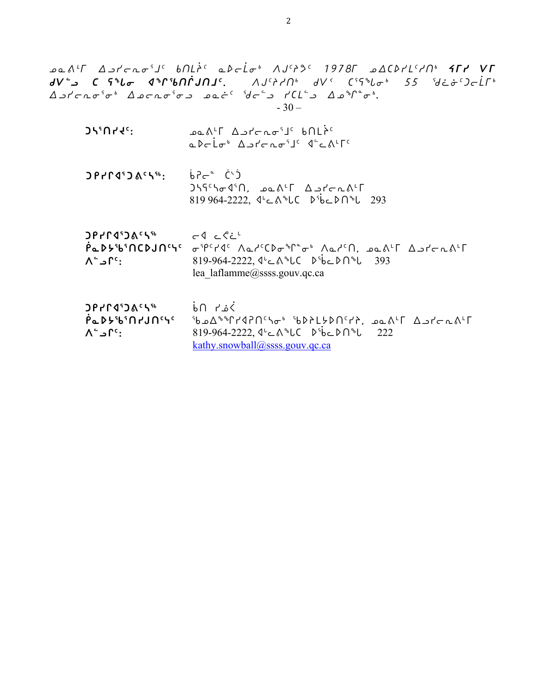| ACD۲L۲/N، <b>۲۲۲ V۲</b> امک که Actor 1978 میتره می کفران انگل A'۲ مه<br><b>dV~)</b> C ናት $l$ σ dት $\Gamma$ 'bNNJAJ'. AJ'AN' dV' C'5ት $l$ σ' 55 'd¿&')cLT'<br>$\Delta$ <i>o'r-no'o' <math>\Delta</math>orno'oo ooi' 'de'o' l</i> '(L'o $\Delta$ o''o').<br>$-30-$                                                                                                     |                                                                                                                                                                                                                                   |
|----------------------------------------------------------------------------------------------------------------------------------------------------------------------------------------------------------------------------------------------------------------------------------------------------------------------------------------------------------------------|-----------------------------------------------------------------------------------------------------------------------------------------------------------------------------------------------------------------------------------|
| <b>JY'UYYE:</b>                                                                                                                                                                                                                                                                                                                                                      | <b>DQA'T</b> ASTCRO'J <sup>C</sup> bNLPC<br>adrigh Astragis dealts                                                                                                                                                                |
|                                                                                                                                                                                                                                                                                                                                                                      | $J55^{\circ}5\sigma4^{\circ}0$ , $a\Delta^{L}\Gamma$ $\Delta$ $J\sigma\pi\Lambda^{L}\Gamma$<br>819 964-2222, J'c A <sup>6</sup> LC D <sup>5</sup> bcDN <sup>6</sup> L 293                                                         |
| $\mathsf{OPT}$ and $\mathsf{OPT}$ and $\mathsf{OPT}$ and $\mathsf{OPT}$ and $\mathsf{OPT}$ and $\mathsf{OPT}$ and $\mathsf{OPT}$ and $\mathsf{OPT}$ and $\mathsf{OPT}$ and $\mathsf{OPT}$ and $\mathsf{OPT}$ and $\mathsf{OPT}$ and $\mathsf{OPT}$ and $\mathsf{OPT}$ and $\mathsf{OPT}$ and $\mathsf{OPT}$ and $\mathsf{OPT}$ and<br>$\Lambda$ ء ا $\mathfrak{e}$ : | <b>PLDY&amp;MCDJNSS</b> ofPERIC AdricDo&Poo Adrin, pant Abroams<br>819-964-2222, $4^{1}$ C $8^{1}$ bC $8^{1}$ bC $1^{1}$ 393<br>lea laflamme@ssss.gouv.qc.ca                                                                      |
| $DP$ <sub>r</sub> $P$<br>PadyibinrJnese<br>$\Lambda^2 \supset \Gamma^c$ :                                                                                                                                                                                                                                                                                            | نمد∟ ∩ہ<br><sup>9</sup> bed <sup>%</sup> r14PN'So <sup>6</sup> 9bd2L5DN'T?, eas <sup>L</sup> F Antonst<br>819-964-2222, $4^{\nu}$ C $\Lambda^{\nu}$ UC $\Lambda^{\nu}$ bC $\Lambda^{\nu}$ U 222<br>kathy.snowball@ssss.gouv.qc.ca |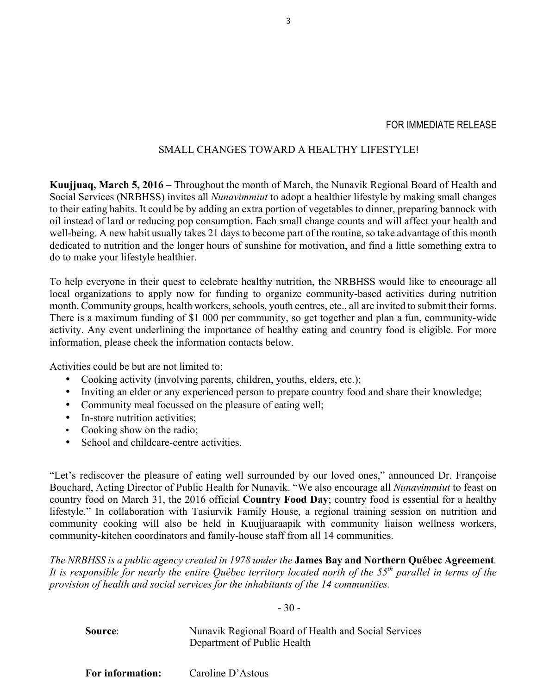#### FOR IMMEDIATE RELEASE

### SMALL CHANGES TOWARD A HEALTHY LIFESTYLE!

**Kuujjuaq, March 5, 2016** – Throughout the month of March, the Nunavik Regional Board of Health and Social Services (NRBHSS) invites all *Nunavimmiut* to adopt a healthier lifestyle by making small changes to their eating habits. It could be by adding an extra portion of vegetables to dinner, preparing bannock with oil instead of lard or reducing pop consumption. Each small change counts and will affect your health and well-being. A new habit usually takes 21 days to become part of the routine, so take advantage of this month dedicated to nutrition and the longer hours of sunshine for motivation, and find a little something extra to do to make your lifestyle healthier.

To help everyone in their quest to celebrate healthy nutrition, the NRBHSS would like to encourage all local organizations to apply now for funding to organize community-based activities during nutrition month. Community groups, health workers, schools, youth centres, etc., all are invited to submit their forms. There is a maximum funding of \$1 000 per community, so get together and plan a fun, community-wide activity. Any event underlining the importance of healthy eating and country food is eligible. For more information, please check the information contacts below.

Activities could be but are not limited to:

- Cooking activity (involving parents, children, youths, elders, etc.);
- Inviting an elder or any experienced person to prepare country food and share their knowledge;
- Community meal focussed on the pleasure of eating well;
- In-store nutrition activities;
- Cooking show on the radio;
- School and childcare-centre activities.

"Let's rediscover the pleasure of eating well surrounded by our loved ones," announced Dr. Françoise Bouchard, Acting Director of Public Health for Nunavik. "We also encourage all *Nunavimmiut* to feast on country food on March 31, the 2016 official **Country Food Day**; country food is essential for a healthy lifestyle." In collaboration with Tasiurvik Family House, a regional training session on nutrition and community cooking will also be held in Kuujjuaraapik with community liaison wellness workers, community-kitchen coordinators and family-house staff from all 14 communities.

*The NRBHSS is a public agency created in 1978 under the* **James Bay and Northern Québec Agreement***. It is responsible for nearly the entire Québec territory located north of the 55th parallel in terms of the provision of health and social services for the inhabitants of the 14 communities.*

- 30 -

**Source:** Nunavik Regional Board of Health and Social Services Department of Public Health

**For information:** Caroline D'Astous